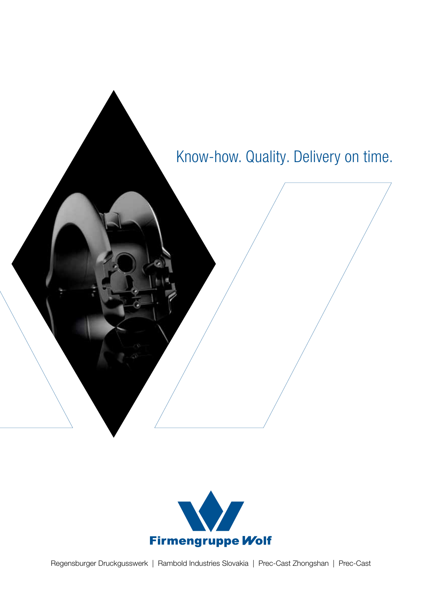

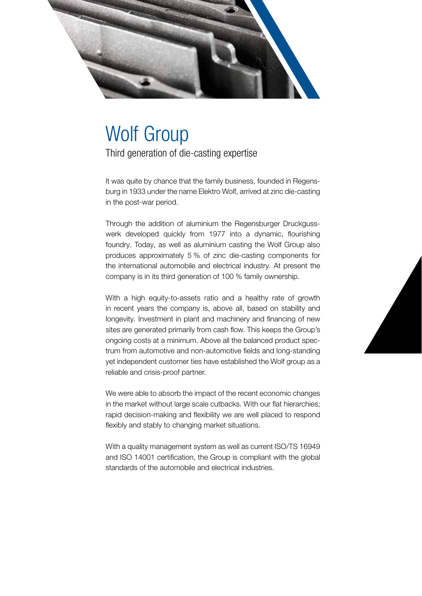

# Wolf Group

Third generation of die-casting expertise

It was quite by chance that the family business, founded in Regensburg in 1933 under the name Elektro Wolf, arrived at zinc die-casting in the post-war period.

Through the addition of aluminium the Regensburger Druckgusswerk developed quickly from 1977 into a dynamic, flourishing foundry. Today, as well as aluminium casting the Wolf Group also produces approximately 5 % of zinc die-casting components for the international automobile and electrical industry. At present the company is in its third generation of 100 % family ownership.

With a high equity-to-assets ratio and a healthy rate of growth in recent years the company is, above all, based on stability and longevity. Investment in plant and machinery and financing of new sites are generated primarily from cash flow. This keeps the Group's ongoing costs at a minimum. Above all the balanced product spectrum from automotive and non-automotive fields and long-standing yet independent customer ties have established the Wolf group as a reliable and crisis-proof partner.

We were able to absorb the impact of the recent economic changes in the market without large scale cutbacks. With our flat hierarchies; rapid decision-making and flexibility we are well placed to respond flexibly and stably to changing market situations.

With a quality management system as well as current ISO/TS 16949 and ISO 14001 certification, the Group is compliant with the global standards of the automobile and electrical industries.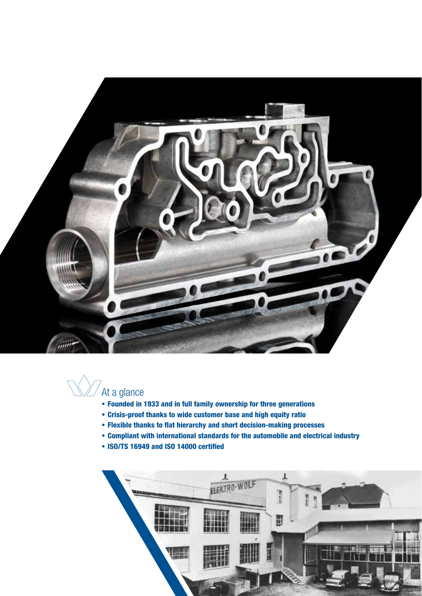



- Founded in 1933 and in full family ownership for three generations
- Crisis-proof thanks to wide customer base and high equity ratio
- Flexible thanks to flat hierarchy and short decision-making processes
- Compliant with international standards for the automobile and electrical industry
- ISO/TS 16949 and ISO 14000 certified

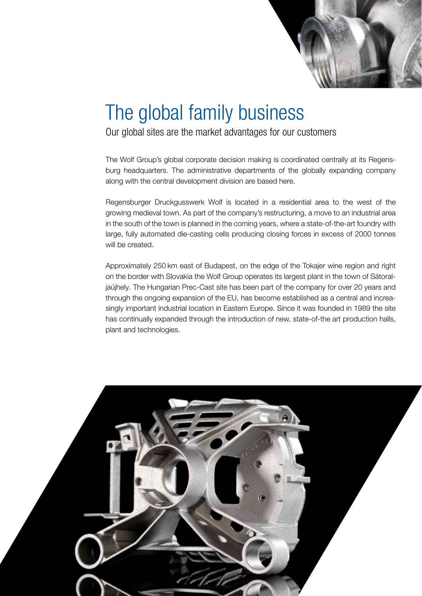

### The global family business

Our global sites are the market advantages for our customers

The Wolf Group's global corporate decision making is coordinated centrally at its Regensburg headquarters. The administrative departments of the globally expanding company along with the central development division are based here.

Regensburger Druckgusswerk Wolf is located in a residential area to the west of the growing medieval town. As part of the company's restructuring, a move to an industrial area in the south of the town is planned in the coming years, where a state-of-the-art foundry with large, fully automated die-casting cells producing closing forces in excess of 2000 tonnes will be created.

Approximately 250 km east of Budapest, on the edge of the Tokajer wine region and right on the border with Slovakia the Wolf Group operates its largest plant in the town of Sátoraljaújhely. The Hungarian Prec-Cast site has been part of the company for over 20 years and through the ongoing expansion of the EU, has become established as a central and increasingly important industrial location in Eastern Europe. Since it was founded in 1989 the site has continually expanded through the introduction of new, state-of-the art production halls, plant and technologies.

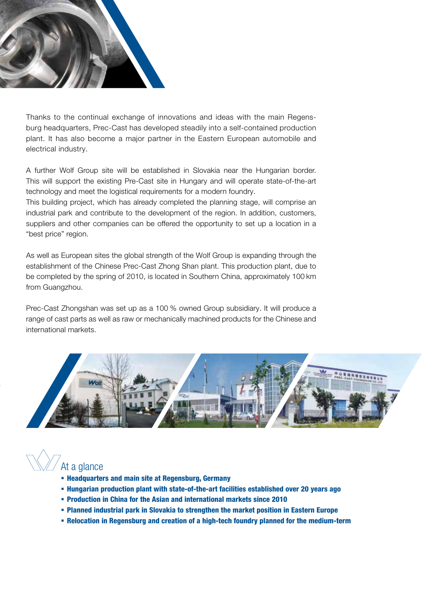

Thanks to the continual exchange of innovations and ideas with the main Regensburg headquarters, Prec-Cast has developed steadily into a self-contained production plant. It has also become a major partner in the Eastern European automobile and electrical industry.

A further Wolf Group site will be established in Slovakia near the Hungarian border. This will support the existing Pre-Cast site in Hungary and will operate state-of-the-art technology and meet the logistical requirements for a modern foundry.

This building project, which has already completed the planning stage, will comprise an industrial park and contribute to the development of the region. In addition, customers, suppliers and other companies can be offered the opportunity to set up a location in a "best price" region.

As well as European sites the global strength of the Wolf Group is expanding through the establishment of the Chinese Prec-Cast Zhong Shan plant. This production plant, due to be completed by the spring of 2010, is located in Southern China, approximately 100 km from Guangzhou.

Prec-Cast Zhongshan was set up as a 100 % owned Group subsidiary. It will produce a range of cast parts as well as raw or mechanically machined products for the Chinese and international markets.



### $\int$ At a glance

- Headquarters and main site at Regensburg, Germany
- Hungarian production plant with state-of-the-art facilities established over 20 years ago
- Production in China for the Asian and international markets since 2010
- Planned industrial park in Slovakia to strengthen the market position in Eastern Europe
- Relocation in Regensburg and creation of a high-tech foundry planned for the medium-term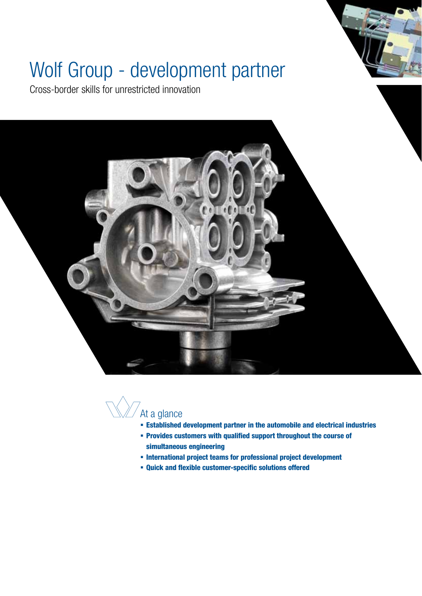# Wolf Group - development partner

Cross-border skills for unrestricted innovation





- Established development partner in the automobile and electrical industries
- Provides customers with qualified support throughout the course of simultaneous engineering
- International project teams for professional project development
- Quick and flexible customer-specific solutions offered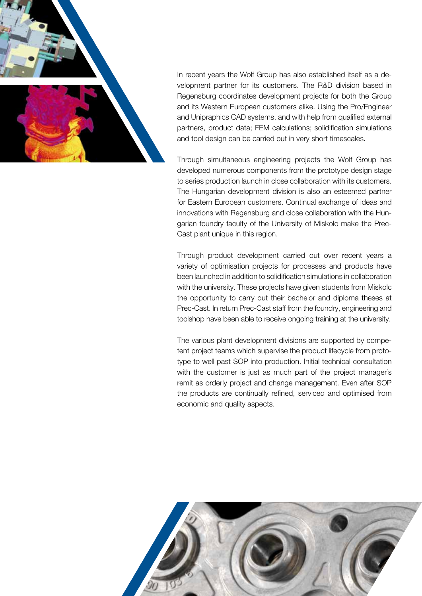

In recent years the Wolf Group has also established itself as a development partner for its customers. The R&D division based in Regensburg coordinates development projects for both the Group and its Western European customers alike. Using the Pro/Engineer and Unipraphics CAD systems, and with help from qualified external partners, product data; FEM calculations; solidification simulations and tool design can be carried out in very short timescales.

Through simultaneous engineering projects the Wolf Group has developed numerous components from the prototype design stage to series production launch in close collaboration with its customers. The Hungarian development division is also an esteemed partner for Eastern European customers. Continual exchange of ideas and innovations with Regensburg and close collaboration with the Hungarian foundry faculty of the University of Miskolc make the Prec-Cast plant unique in this region.

Through product development carried out over recent years a variety of optimisation projects for processes and products have been launched in addition to solidification simulations in collaboration with the university. These projects have given students from Miskolc the opportunity to carry out their bachelor and diploma theses at Prec-Cast. In return Prec-Cast staff from the foundry, engineering and toolshop have been able to receive ongoing training at the university.

The various plant development divisions are supported by competent project teams which supervise the product lifecycle from prototype to well past SOP into production. Initial technical consultation with the customer is just as much part of the project manager's remit as orderly project and change management. Even after SOP the products are continually refined, serviced and optimised from economic and quality aspects.

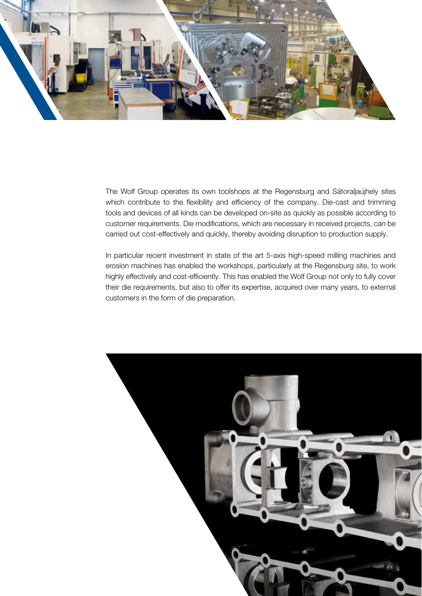

The Wolf Group operates its own toolshops at the Regensburg and Sátoraljaújhely sites which contribute to the flexibility and efficiency of the company. Die-cast and trimming tools and devices of all kinds can be developed on-site as quickly as possible according to customer requirements. Die modifications, which are necessary in received projects, can be carried out cost-effectively and quickly, thereby avoiding disruption to production supply.

In particular recent investment in state of the art 5-axis high-speed milling machines and erosion machines has enabled the workshops, particularly at the Regensburg site, to work highly effectively and cost-efficiently. This has enabled the Wolf Group not only to fully cover their die requirements, but also to offer its expertise, acquired over many years, to external customers in the form of die preparation.

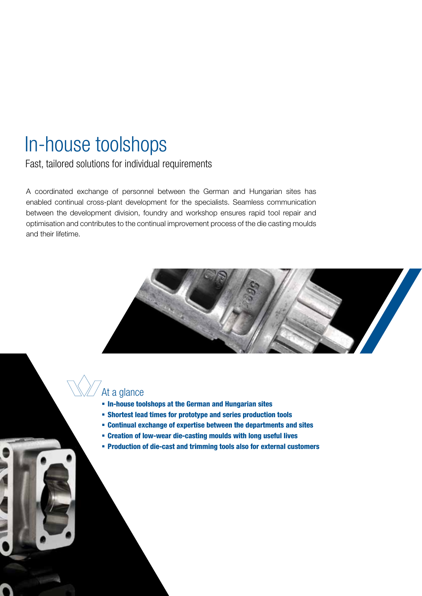### In-house toolshops

Fast, tailored solutions for individual requirements

A coordinated exchange of personnel between the German and Hungarian sites has enabled continual cross-plant development for the specialists. Seamless communication between the development division, foundry and workshop ensures rapid tool repair and optimisation and contributes to the continual improvement process of the die casting moulds and their lifetime.



#### At a glance

- In-house toolshops at the German and Hungarian sites
- Shortest lead times for prototype and series production tools
- Continual exchange of expertise between the departments and sites
- Creation of low-wear die-casting moulds with long useful lives
- Production of die-cast and trimming tools also for external customers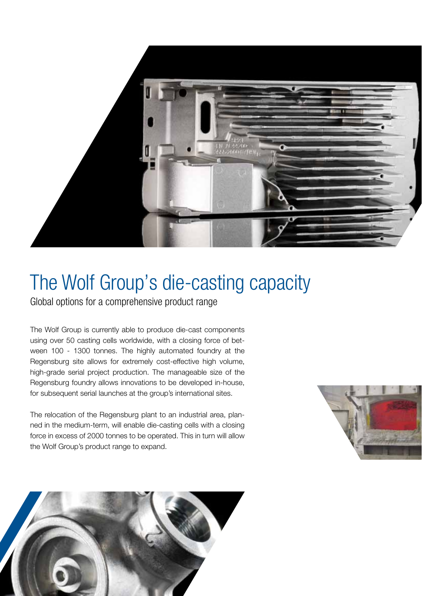

### The Wolf Group's die-casting capacity

Global options for a comprehensive product range

The Wolf Group is currently able to produce die-cast components using over 50 casting cells worldwide, with a closing force of between 100 - 1300 tonnes. The highly automated foundry at the Regensburg site allows for extremely cost-effective high volume, high-grade serial project production. The manageable size of the Regensburg foundry allows innovations to be developed in-house, for subsequent serial launches at the group's international sites.

The relocation of the Regensburg plant to an industrial area, planned in the medium-term, will enable die-casting cells with a closing force in excess of 2000 tonnes to be operated. This in turn will allow the Wolf Group's product range to expand.



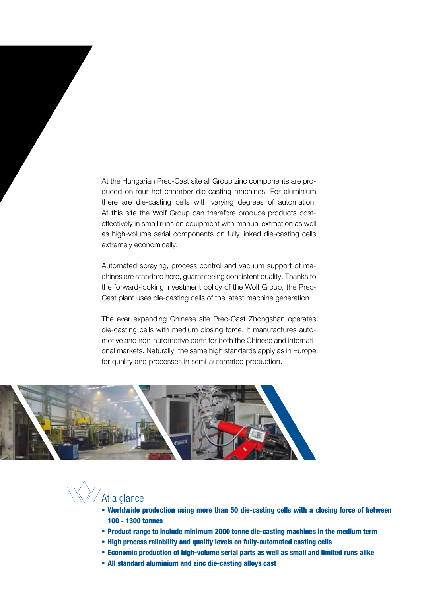At the Hungarian Prec-Cast site all Group zinc components are produced on four hot-chamber die-casting machines. For aluminium there are die-casting cells with varying degrees of automation. At this site the Wolf Group can therefore produce products costeffectively in small runs on equipment with manual extraction as well as high-volume serial components on fully linked die-casting cells extremely economically.

Automated spraying, process control and vacuum support of machines are standard here, guaranteeing consistent quality. Thanks to the forward-looking investment policy of the Wolf Group, the Prec-Cast plant uses die-casting cells of the latest machine generation.

The ever expanding Chinese site Prec-Cast Zhongshan operates die-casting cells with medium closing force. It manufactures automotive and non-automotive parts for both the Chinese and international markets. Naturally, the same high standards apply as in Europe for quality and processes in semi-automated production.



At a glance

- Worldwide production using more than 50 die-casting cells with a closing force of between 100 - 1300 tonnes
- Product range to include minimum 2000 tonne die-casting machines in the medium term
- High process reliability and quality levels on fully-automated casting cells
- Economic production of high-volume serial parts as well as small and limited runs alike
- All standard aluminium and zinc die-casting alloys cast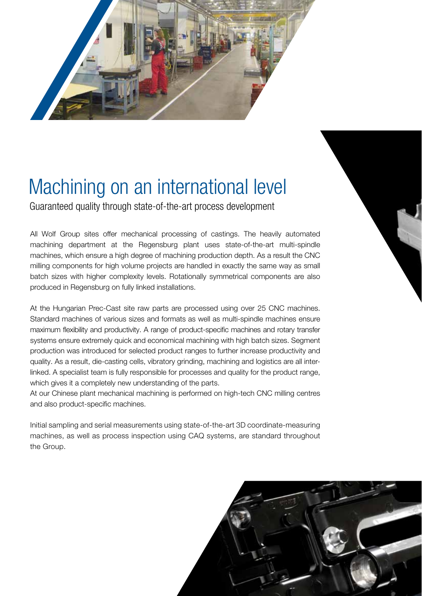

## Machining on an international level

Guaranteed quality through state-of-the-art process development

All Wolf Group sites offer mechanical processing of castings. The heavily automated machining department at the Regensburg plant uses state-of-the-art multi-spindle machines, which ensure a high degree of machining production depth. As a result the CNC milling components for high volume projects are handled in exactly the same way as small batch sizes with higher complexity levels. Rotationally symmetrical components are also produced in Regensburg on fully linked installations.

At the Hungarian Prec-Cast site raw parts are processed using over 25 CNC machines. Standard machines of various sizes and formats as well as multi-spindle machines ensure maximum flexibility and productivity. A range of product-specific machines and rotary transfer systems ensure extremely quick and economical machining with high batch sizes. Segment production was introduced for selected product ranges to further increase productivity and quality. As a result, die-casting cells, vibratory grinding, machining and logistics are all interlinked. A specialist team is fully responsible for processes and quality for the product range, which gives it a completely new understanding of the parts.

At our Chinese plant mechanical machining is performed on high-tech CNC milling centres and also product-specific machines.

Initial sampling and serial measurements using state-of-the-art 3D coordinate-measuring machines, as well as process inspection using CAQ systems, are standard throughout the Group.

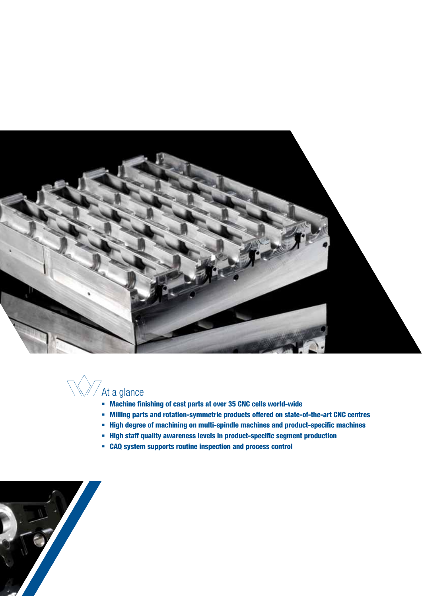



- Machine finishing of cast parts at over 35 CNC cells world-wide
- Milling parts and rotation-symmetric products offered on state-of-the-art CNC centres
- High degree of machining on multi-spindle machines and product-specific machines
- **High staff quality awareness levels in product-specific segment production**
- CAQ system supports routine inspection and process control

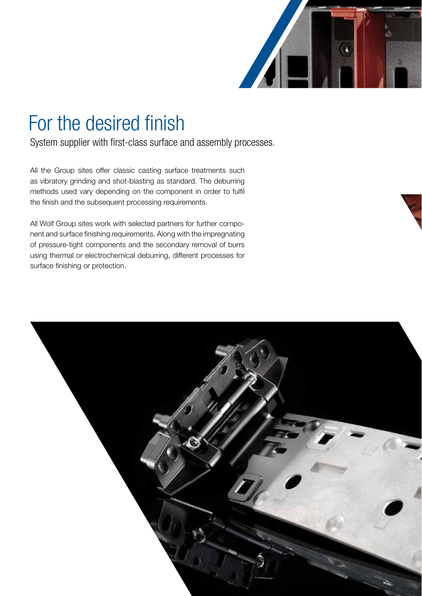

### For the desired finish

System supplier with first-class surface and assembly processes.

All the Group sites offer classic casting surface treatments such as vibratory grinding and shot-blasting as standard. The deburring methods used vary depending on the component in order to fulfil the finish and the subsequent processing requirements.

All Wolf Group sites work with selected partners for further component and surface finishing requirements. Along with the impregnating of pressure-tight components and the secondary removal of burrs using thermal or electrochemical deburring, different processes for surface finishing or protection.

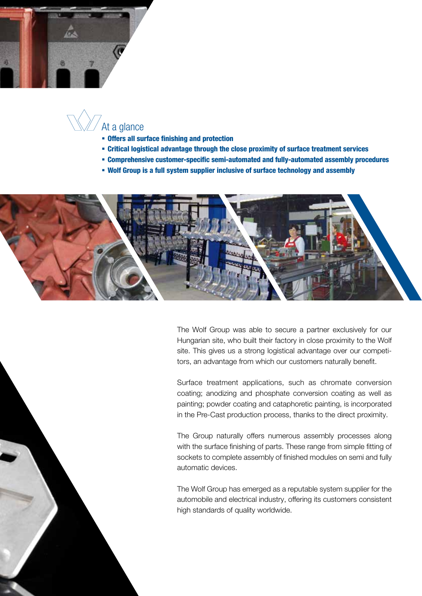

### At a glance

- Offers all surface finishing and protection
- Critical logistical advantage through the close proximity of surface treatment services
- Comprehensive customer-specific semi-automated and fully-automated assembly procedures
- Wolf Group is a full system supplier inclusive of surface technology and assembly



The Wolf Group was able to secure a partner exclusively for our Hungarian site, who built their factory in close proximity to the Wolf site. This gives us a strong logistical advantage over our competitors, an advantage from which our customers naturally benefit.

Surface treatment applications, such as chromate conversion coating; anodizing and phosphate conversion coating as well as painting; powder coating and cataphoretic painting, is incorporated in the Pre-Cast production process, thanks to the direct proximity.

The Group naturally offers numerous assembly processes along with the surface finishing of parts. These range from simple fitting of sockets to complete assembly of finished modules on semi and fully automatic devices.

The Wolf Group has emerged as a reputable system supplier for the automobile and electrical industry, offering its customers consistent high standards of quality worldwide.